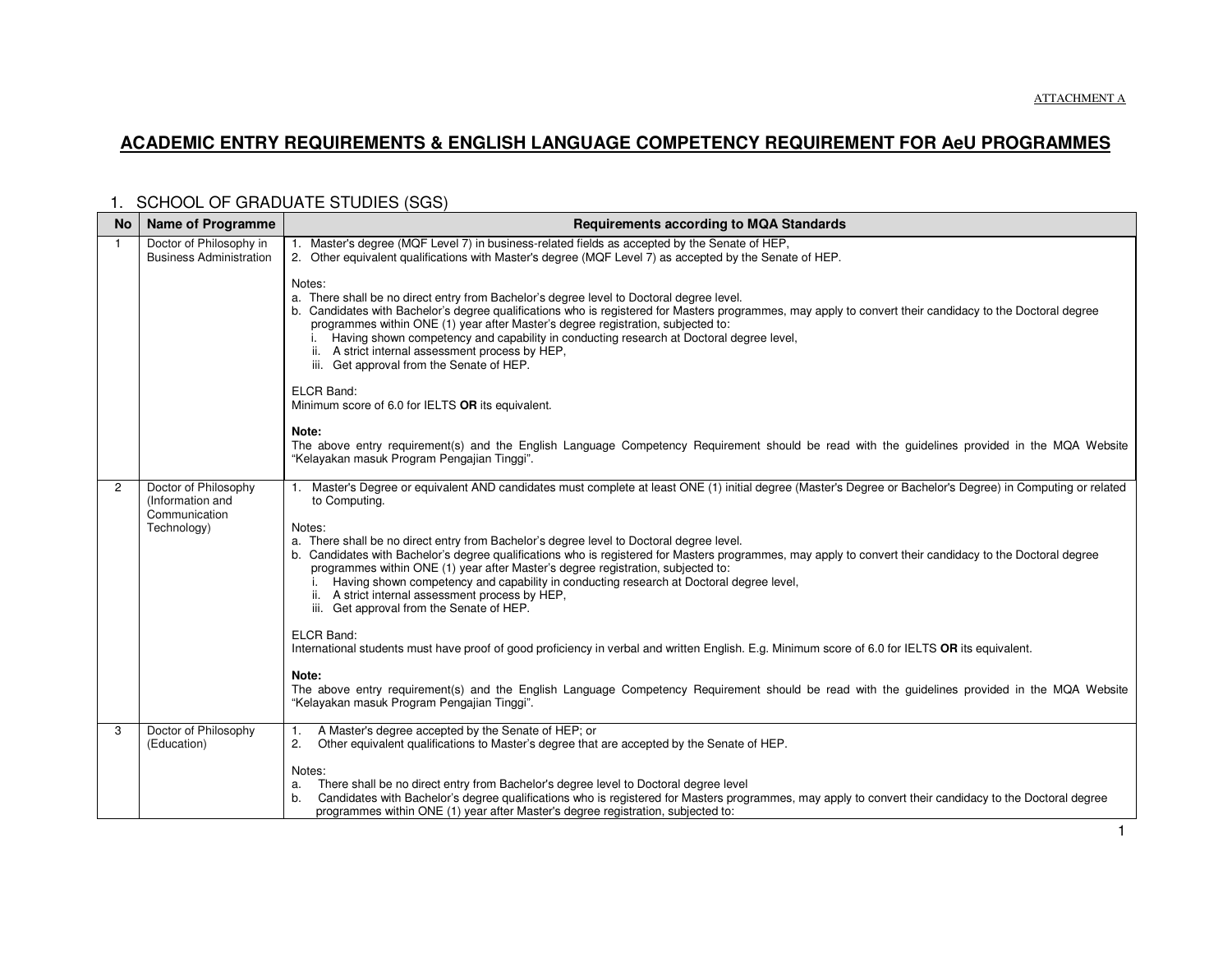### **ACADEMIC ENTRY REQUIREMENTS & ENGLISH LANGUAGE COMPETENCY REQUIREMENT FOR AeU PROGRAMMES**

| <b>No</b>      | <b>Name of Programme</b>                                  | <b>Requirements according to MQA Standards</b>                                                                                                                                                                                                                                                                                                                                                                                                                                                                                                     |
|----------------|-----------------------------------------------------------|----------------------------------------------------------------------------------------------------------------------------------------------------------------------------------------------------------------------------------------------------------------------------------------------------------------------------------------------------------------------------------------------------------------------------------------------------------------------------------------------------------------------------------------------------|
| $\mathbf{1}$   | Doctor of Philosophy in<br><b>Business Administration</b> | 1. Master's degree (MQF Level 7) in business-related fields as accepted by the Senate of HEP,<br>2. Other equivalent qualifications with Master's degree (MQF Level 7) as accepted by the Senate of HEP.                                                                                                                                                                                                                                                                                                                                           |
|                |                                                           | Notes:<br>a. There shall be no direct entry from Bachelor's degree level to Doctoral degree level.<br>b. Candidates with Bachelor's degree qualifications who is registered for Masters programmes, may apply to convert their candidacy to the Doctoral degree<br>programmes within ONE (1) year after Master's degree registration, subjected to:<br>Having shown competency and capability in conducting research at Doctoral degree level,<br>A strict internal assessment process by HEP,<br>ii.<br>iii. Get approval from the Senate of HEP. |
|                |                                                           | ELCR Band:<br>Minimum score of 6.0 for IELTS OR its equivalent.                                                                                                                                                                                                                                                                                                                                                                                                                                                                                    |
|                |                                                           | Note:<br>The above entry requirement(s) and the English Language Competency Requirement should be read with the guidelines provided in the MQA Website<br>"Kelayakan masuk Program Pengajian Tinggi".                                                                                                                                                                                                                                                                                                                                              |
| $\overline{2}$ | Doctor of Philosophy<br>(Information and<br>Communication | 1. Master's Degree or equivalent AND candidates must complete at least ONE (1) initial degree (Master's Degree or Bachelor's Degree) in Computing or related<br>to Computing.                                                                                                                                                                                                                                                                                                                                                                      |
|                | Technology)                                               | Notes:<br>a. There shall be no direct entry from Bachelor's degree level to Doctoral degree level.<br>b. Candidates with Bachelor's degree qualifications who is registered for Masters programmes, may apply to convert their candidacy to the Doctoral degree<br>programmes within ONE (1) year after Master's degree registration, subjected to:<br>Having shown competency and capability in conducting research at Doctoral degree level,<br>ii. A strict internal assessment process by HEP,<br>iii. Get approval from the Senate of HEP.    |
|                |                                                           | ELCR Band:<br>International students must have proof of good proficiency in verbal and written English. E.g. Minimum score of 6.0 for IELTS OR its equivalent.                                                                                                                                                                                                                                                                                                                                                                                     |
|                |                                                           | Note:<br>The above entry requirement(s) and the English Language Competency Requirement should be read with the guidelines provided in the MQA Website<br>"Kelayakan masuk Program Pengajian Tinggi".                                                                                                                                                                                                                                                                                                                                              |
| 3              | Doctor of Philosophy<br>(Education)                       | A Master's degree accepted by the Senate of HEP; or<br>1.<br>Other equivalent qualifications to Master's degree that are accepted by the Senate of HEP.<br>2.                                                                                                                                                                                                                                                                                                                                                                                      |
|                |                                                           | Notes:<br>There shall be no direct entry from Bachelor's degree level to Doctoral degree level<br>a.<br>Candidates with Bachelor's degree qualifications who is registered for Masters programmes, may apply to convert their candidacy to the Doctoral degree<br>b.<br>programmes within ONE (1) year after Master's degree registration, subjected to:                                                                                                                                                                                           |

## 1. SCHOOL OF GRADUATE STUDIES (SGS)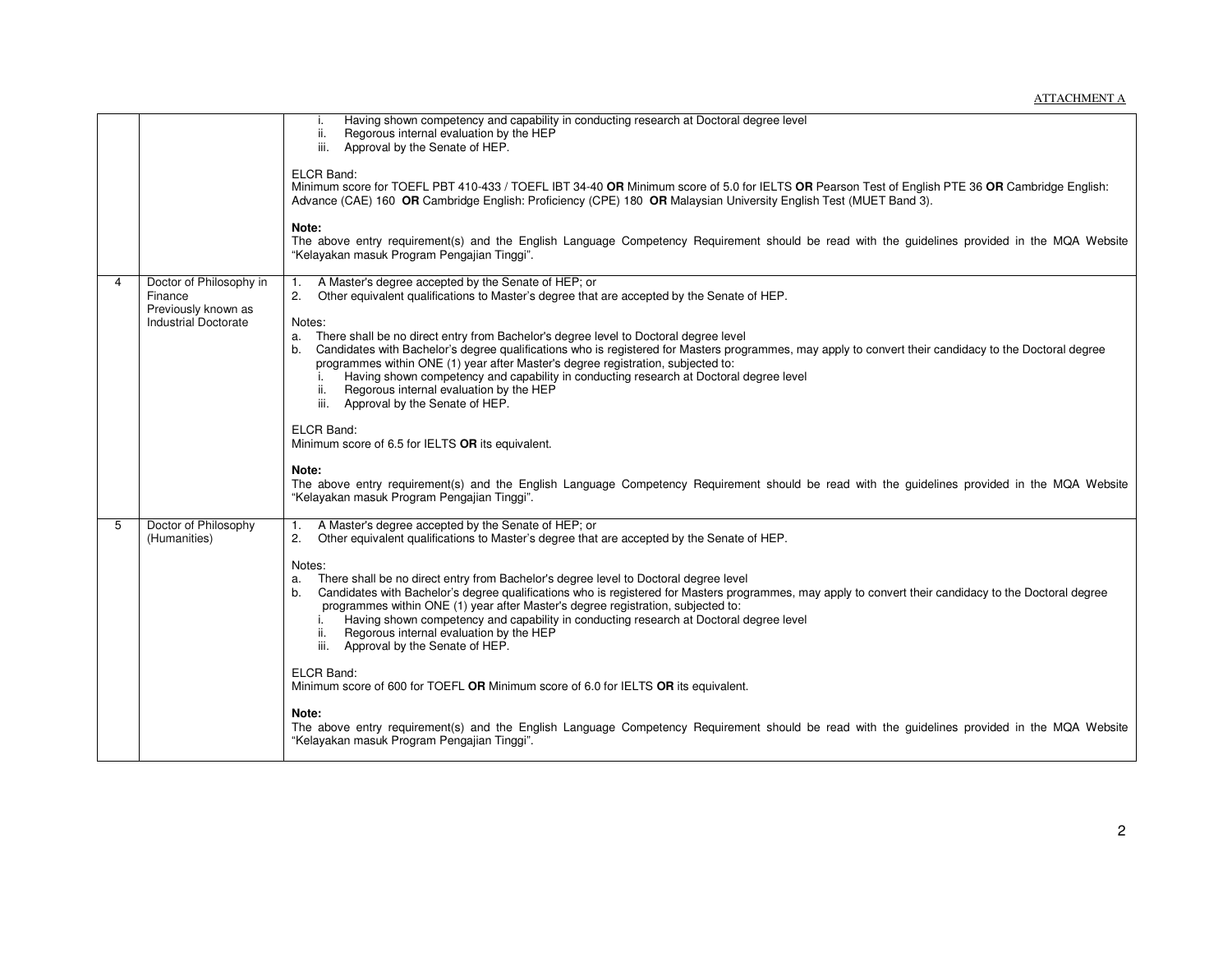|   |                                                                                          | Having shown competency and capability in conducting research at Doctoral degree level<br>i.<br>Regorous internal evaluation by the HEP<br>ii.<br>iii. Approval by the Senate of HEP.<br>ELCR Band:<br>Minimum score for TOEFL PBT 410-433 / TOEFL IBT 34-40 OR Minimum score of 5.0 for IELTS OR Pearson Test of English PTE 36 OR Cambridge English:<br>Advance (CAE) 160 OR Cambridge English: Proficiency (CPE) 180 OR Malaysian University English Test (MUET Band 3).<br>Note:<br>The above entry requirement(s) and the English Language Competency Requirement should be read with the guidelines provided in the MQA Website<br>"Kelayakan masuk Program Pengajian Tinggi".                                                                                                                                                                                                                                                                                                                                             |
|---|------------------------------------------------------------------------------------------|----------------------------------------------------------------------------------------------------------------------------------------------------------------------------------------------------------------------------------------------------------------------------------------------------------------------------------------------------------------------------------------------------------------------------------------------------------------------------------------------------------------------------------------------------------------------------------------------------------------------------------------------------------------------------------------------------------------------------------------------------------------------------------------------------------------------------------------------------------------------------------------------------------------------------------------------------------------------------------------------------------------------------------|
| 4 | Doctor of Philosophy in<br>Finance<br>Previously known as<br><b>Industrial Doctorate</b> | A Master's degree accepted by the Senate of HEP; or<br>1.<br>2 <sup>2</sup><br>Other equivalent qualifications to Master's degree that are accepted by the Senate of HEP.<br>Notes:<br>a. There shall be no direct entry from Bachelor's degree level to Doctoral degree level<br>b. Candidates with Bachelor's degree qualifications who is registered for Masters programmes, may apply to convert their candidacy to the Doctoral degree<br>programmes within ONE (1) year after Master's degree registration, subjected to:<br>Having shown competency and capability in conducting research at Doctoral degree level<br>Regorous internal evaluation by the HEP<br>ii.<br>iii. Approval by the Senate of HEP.<br>ELCR Band:<br>Minimum score of 6.5 for IELTS OR its equivalent.<br>Note:                                                                                                                                                                                                                                   |
|   |                                                                                          | The above entry requirement(s) and the English Language Competency Requirement should be read with the guidelines provided in the MQA Website<br>"Kelayakan masuk Program Pengajian Tinggi".                                                                                                                                                                                                                                                                                                                                                                                                                                                                                                                                                                                                                                                                                                                                                                                                                                     |
| 5 | Doctor of Philosophy<br>(Humanities)                                                     | A Master's degree accepted by the Senate of HEP; or<br>1.<br>Other equivalent qualifications to Master's degree that are accepted by the Senate of HEP.<br>2.<br>Notes:<br>There shall be no direct entry from Bachelor's degree level to Doctoral degree level<br>a.<br>Candidates with Bachelor's degree qualifications who is registered for Masters programmes, may apply to convert their candidacy to the Doctoral degree<br>b.<br>programmes within ONE (1) year after Master's degree registration, subjected to:<br>Having shown competency and capability in conducting research at Doctoral degree level<br>i.<br>Regorous internal evaluation by the HEP<br>ii.<br>iii. Approval by the Senate of HEP.<br>ELCR Band:<br>Minimum score of 600 for TOEFL OR Minimum score of 6.0 for IELTS OR its equivalent.<br>Note:<br>The above entry requirement(s) and the English Language Competency Requirement should be read with the guidelines provided in the MQA Website<br>"Kelayakan masuk Program Pengajian Tinggi". |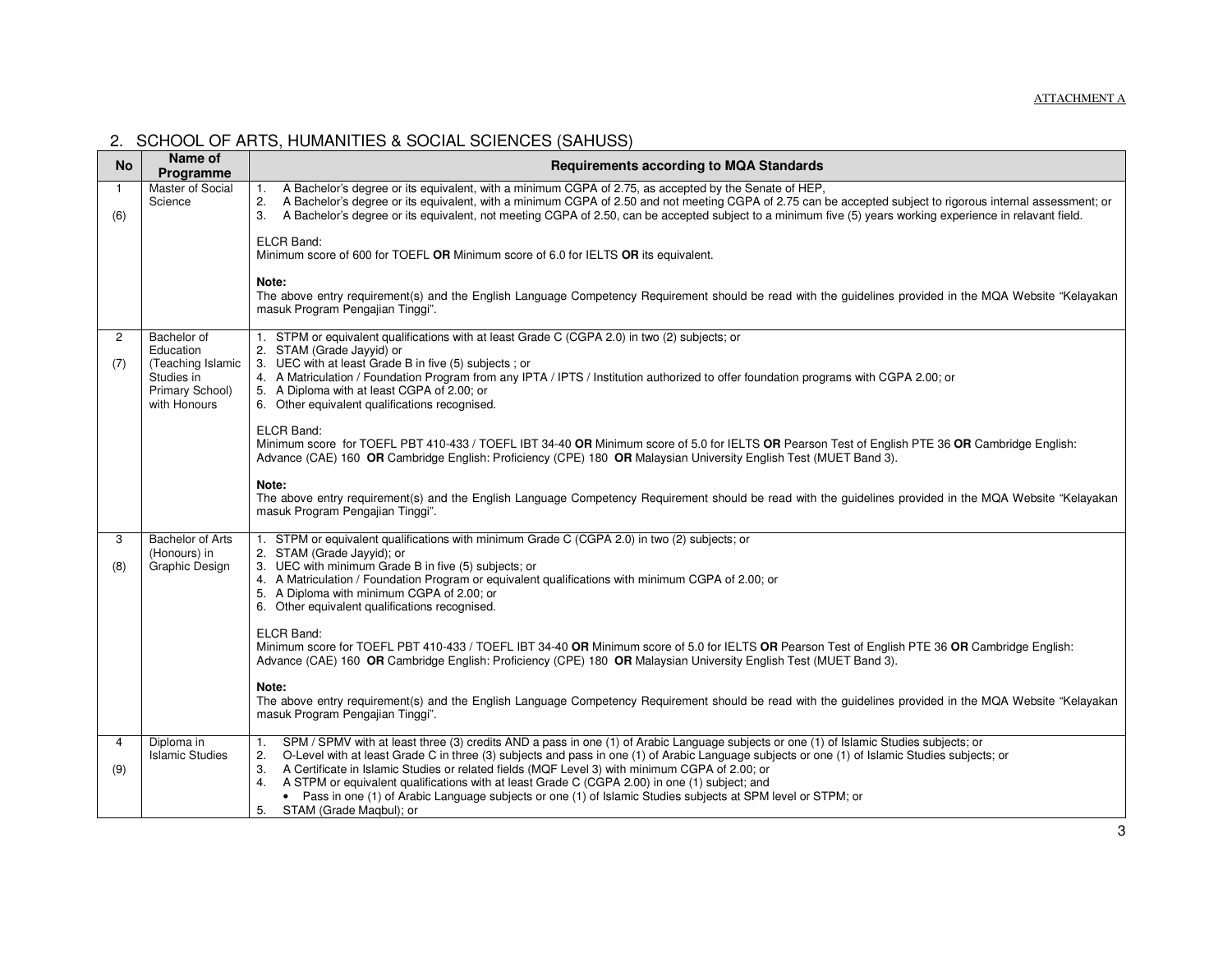| <b>No</b>             | Name of<br>Programme                                                                           | <b>Requirements according to MQA Standards</b>                                                                                                                                                                                                                                                                                                                                                                                                                                                                                                                                                                                                                |
|-----------------------|------------------------------------------------------------------------------------------------|---------------------------------------------------------------------------------------------------------------------------------------------------------------------------------------------------------------------------------------------------------------------------------------------------------------------------------------------------------------------------------------------------------------------------------------------------------------------------------------------------------------------------------------------------------------------------------------------------------------------------------------------------------------|
| -1<br>(6)             | Master of Social<br>Science                                                                    | A Bachelor's degree or its equivalent, with a minimum CGPA of 2.75, as accepted by the Senate of HEP,<br>1.<br>A Bachelor's degree or its equivalent, with a minimum CGPA of 2.50 and not meeting CGPA of 2.75 can be accepted subject to rigorous internal assessment; or<br>2.<br>3. A Bachelor's degree or its equivalent, not meeting CGPA of 2.50, can be accepted subject to a minimum five (5) years working experience in relavant field.                                                                                                                                                                                                             |
|                       |                                                                                                | ELCR Band:<br>Minimum score of 600 for TOEFL OR Minimum score of 6.0 for IELTS OR its equivalent.                                                                                                                                                                                                                                                                                                                                                                                                                                                                                                                                                             |
|                       |                                                                                                | Note:<br>The above entry requirement(s) and the English Language Competency Requirement should be read with the guidelines provided in the MQA Website "Kelayakan<br>masuk Program Pengajian Tinggi".                                                                                                                                                                                                                                                                                                                                                                                                                                                         |
| $\overline{2}$<br>(7) | Bachelor of<br>Education<br>(Teaching Islamic<br>Studies in<br>Primary School)<br>with Honours | 1. STPM or equivalent qualifications with at least Grade C (CGPA 2.0) in two (2) subjects; or<br>2. STAM (Grade Jayyid) or<br>3. UEC with at least Grade B in five (5) subjects; or<br>4. A Matriculation / Foundation Program from any IPTA / IPTS / Institution authorized to offer foundation programs with CGPA 2.00; or<br>5. A Diploma with at least CGPA of 2.00; or<br>6. Other equivalent qualifications recognised.                                                                                                                                                                                                                                 |
|                       |                                                                                                | <b>ELCR Band:</b><br>Minimum score for TOEFL PBT 410-433 / TOEFL IBT 34-40 OR Minimum score of 5.0 for IELTS OR Pearson Test of English PTE 36 OR Cambridge English:<br>Advance (CAE) 160 OR Cambridge English: Proficiency (CPE) 180 OR Malaysian University English Test (MUET Band 3).                                                                                                                                                                                                                                                                                                                                                                     |
|                       |                                                                                                | Note:<br>The above entry requirement(s) and the English Language Competency Requirement should be read with the guidelines provided in the MQA Website "Kelayakan<br>masuk Program Pengajian Tinggi".                                                                                                                                                                                                                                                                                                                                                                                                                                                         |
| 3<br>(8)              | <b>Bachelor of Arts</b><br>(Honours) in<br>Graphic Design                                      | 1. STPM or equivalent qualifications with minimum Grade C (CGPA 2.0) in two (2) subjects; or<br>2. STAM (Grade Jayyid); or<br>3. UEC with minimum Grade B in five (5) subjects; or<br>4. A Matriculation / Foundation Program or equivalent qualifications with minimum CGPA of 2.00; or<br>5. A Diploma with minimum CGPA of 2.00; or<br>6. Other equivalent qualifications recognised.                                                                                                                                                                                                                                                                      |
|                       |                                                                                                | <b>ELCR Band:</b><br>Minimum score for TOEFL PBT 410-433 / TOEFL IBT 34-40 OR Minimum score of 5.0 for IELTS OR Pearson Test of English PTE 36 OR Cambridge English:<br>Advance (CAE) 160 OR Cambridge English: Proficiency (CPE) 180 OR Malaysian University English Test (MUET Band 3).                                                                                                                                                                                                                                                                                                                                                                     |
|                       |                                                                                                | Note:<br>The above entry requirement(s) and the English Language Competency Requirement should be read with the guidelines provided in the MQA Website "Kelayakan<br>masuk Program Pengajian Tinggi".                                                                                                                                                                                                                                                                                                                                                                                                                                                         |
| 4<br>(9)              | Diploma in<br><b>Islamic Studies</b>                                                           | SPM / SPMV with at least three (3) credits AND a pass in one (1) of Arabic Language subjects or one (1) of Islamic Studies subjects; or<br>1.<br>O-Level with at least Grade C in three (3) subjects and pass in one (1) of Arabic Language subjects or one (1) of Islamic Studies subjects; or<br>2.<br>3. A Certificate in Islamic Studies or related fields (MQF Level 3) with minimum CGPA of 2.00; or<br>4. A STPM or equivalent qualifications with at least Grade C (CGPA 2.00) in one (1) subject; and<br>• Pass in one (1) of Arabic Language subjects or one (1) of Islamic Studies subjects at SPM level or STPM; or<br>5. STAM (Grade Magbul); or |
|                       |                                                                                                |                                                                                                                                                                                                                                                                                                                                                                                                                                                                                                                                                                                                                                                               |

# 2. SCHOOL OF ARTS, HUMANITIES & SOCIAL SCIENCES (SAHUSS)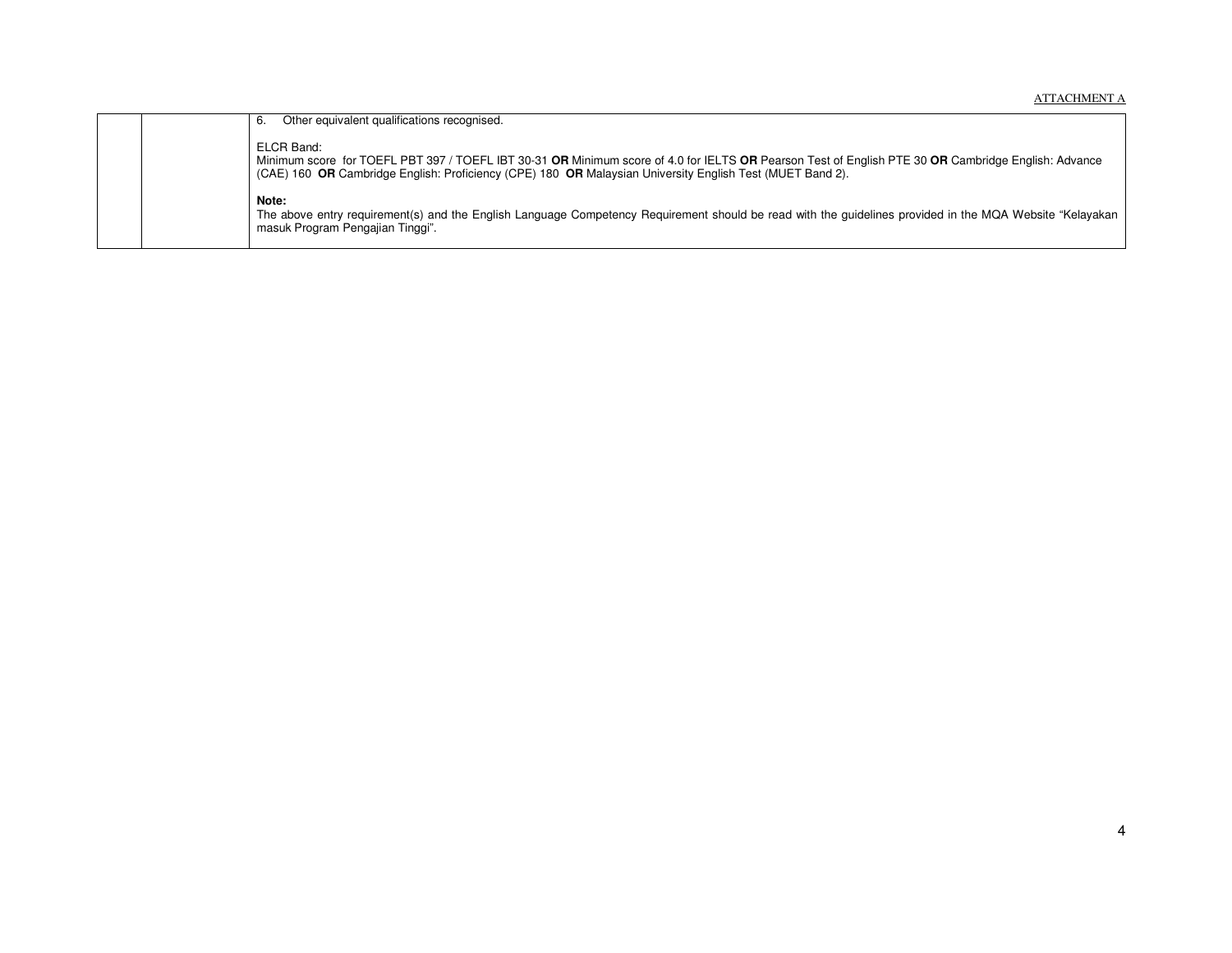|  | Other equivalent qualifications recognised.<br>6.                                                                                                                                                                                                                              |
|--|--------------------------------------------------------------------------------------------------------------------------------------------------------------------------------------------------------------------------------------------------------------------------------|
|  | ELCR Band:<br>Minimum score for TOEFL PBT 397 / TOEFL IBT 30-31 OR Minimum score of 4.0 for IELTS OR Pearson Test of English PTE 30 OR Cambridge English: Advance<br>(CAE) 160 OR Cambridge English: Proficiency (CPE) 180 OR Malaysian University English Test (MUET Band 2). |
|  | Note:<br>The above entry requirement(s) and the English Language Competency Requirement should be read with the quidelines provided in the MQA Website "Kelayakan<br>masuk Program Pengajian Tinggi".                                                                          |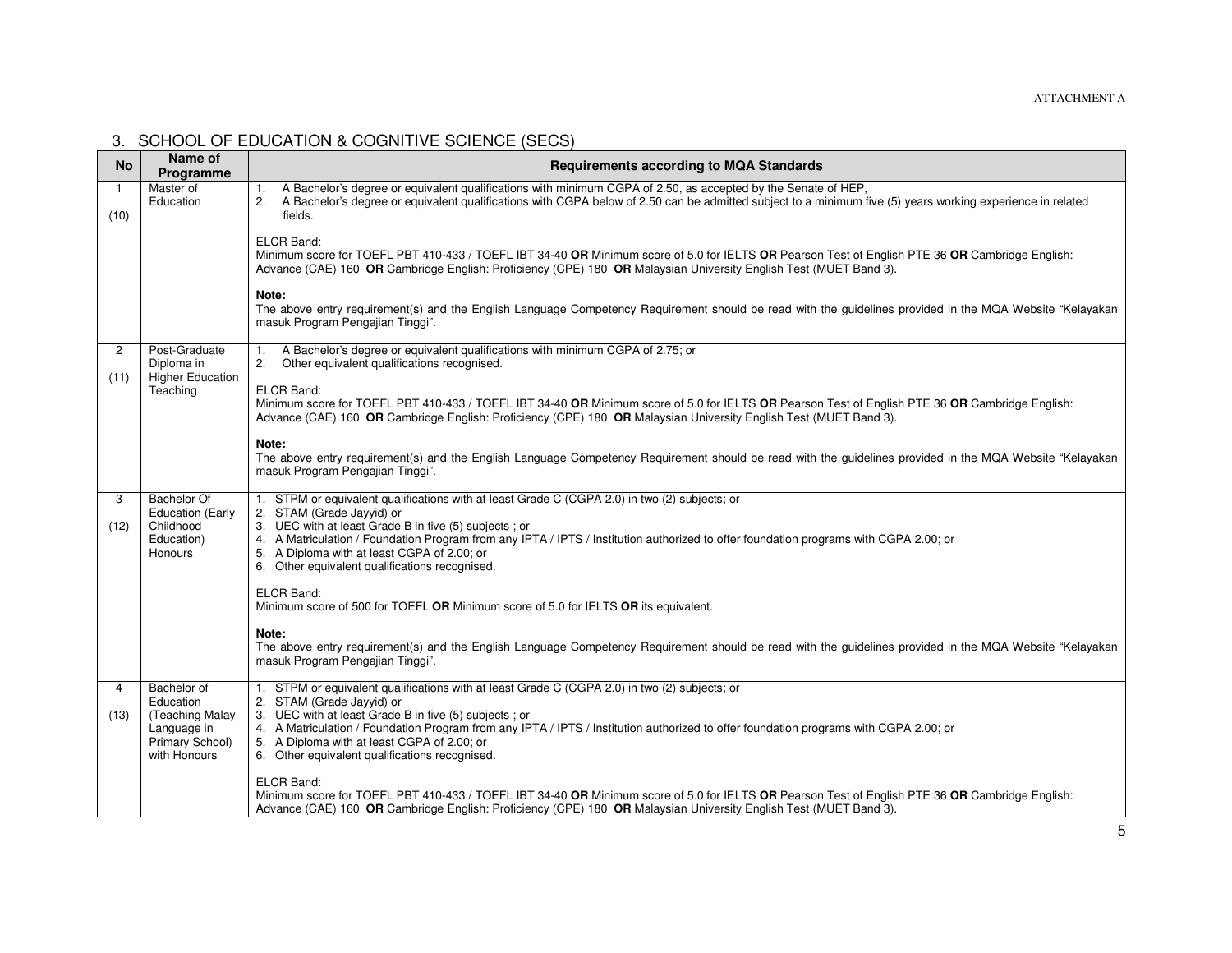| <b>No</b>              | Name of<br>Programme                                                                          | <b>Requirements according to MQA Standards</b>                                                                                                                                                                                                                                                                                                                                                                                 |
|------------------------|-----------------------------------------------------------------------------------------------|--------------------------------------------------------------------------------------------------------------------------------------------------------------------------------------------------------------------------------------------------------------------------------------------------------------------------------------------------------------------------------------------------------------------------------|
| $\mathbf{1}$<br>(10)   | Master of<br>Education                                                                        | A Bachelor's degree or equivalent qualifications with minimum CGPA of 2.50, as accepted by the Senate of HEP,<br>1.<br>2. A Bachelor's degree or equivalent qualifications with CGPA below of 2.50 can be admitted subject to a minimum five (5) years working experience in related<br>fields.                                                                                                                                |
|                        |                                                                                               | ELCR Band:<br>Minimum score for TOEFL PBT 410-433 / TOEFL IBT 34-40 OR Minimum score of 5.0 for IELTS OR Pearson Test of English PTE 36 OR Cambridge English:<br>Advance (CAE) 160 OR Cambridge English: Proficiency (CPE) 180 OR Malaysian University English Test (MUET Band 3).                                                                                                                                             |
|                        |                                                                                               | Note:<br>The above entry requirement(s) and the English Language Competency Requirement should be read with the guidelines provided in the MQA Website "Kelayakan<br>masuk Program Pengajian Tinggi".                                                                                                                                                                                                                          |
| $\overline{2}$<br>(11) | Post-Graduate<br>Diploma in<br><b>Higher Education</b>                                        | A Bachelor's degree or equivalent qualifications with minimum CGPA of 2.75; or<br>$\mathbf{1}$ .<br>2.<br>Other equivalent qualifications recognised.                                                                                                                                                                                                                                                                          |
|                        | Teaching                                                                                      | ELCR Band:<br>Minimum score for TOEFL PBT 410-433 / TOEFL IBT 34-40 OR Minimum score of 5.0 for IELTS OR Pearson Test of English PTE 36 OR Cambridge English:<br>Advance (CAE) 160 OR Cambridge English: Proficiency (CPE) 180 OR Malaysian University English Test (MUET Band 3).                                                                                                                                             |
|                        |                                                                                               | Note:<br>The above entry requirement(s) and the English Language Competency Requirement should be read with the guidelines provided in the MQA Website "Kelayakan<br>masuk Program Pengajian Tinggi".                                                                                                                                                                                                                          |
| 3<br>(12)              | Bachelor Of<br><b>Education (Early</b><br>Childhood<br>Education)<br>Honours                  | 1. STPM or equivalent qualifications with at least Grade C (CGPA 2.0) in two (2) subjects; or<br>2. STAM (Grade Jayyid) or<br>3. UEC with at least Grade B in five (5) subjects; or<br>4. A Matriculation / Foundation Program from any IPTA / IPTS / Institution authorized to offer foundation programs with CGPA 2.00; or<br>5. A Diploma with at least CGPA of 2.00; or<br>6. Other equivalent qualifications recognised.  |
|                        |                                                                                               | ELCR Band:<br>Minimum score of 500 for TOEFL OR Minimum score of 5.0 for IELTS OR its equivalent.                                                                                                                                                                                                                                                                                                                              |
|                        |                                                                                               | Note:<br>The above entry requirement(s) and the English Language Competency Requirement should be read with the guidelines provided in the MQA Website "Kelayakan<br>masuk Program Pengajian Tinggi".                                                                                                                                                                                                                          |
| 4<br>(13)              | Bachelor of<br>Education<br>(Teaching Malay<br>Language in<br>Primary School)<br>with Honours | 1. STPM or equivalent qualifications with at least Grade C (CGPA 2.0) in two (2) subjects; or<br>2. STAM (Grade Jayyid) or<br>3. UEC with at least Grade B in five (5) subjects ; or<br>4. A Matriculation / Foundation Program from any IPTA / IPTS / Institution authorized to offer foundation programs with CGPA 2.00; or<br>5. A Diploma with at least CGPA of 2.00; or<br>6. Other equivalent qualifications recognised. |
|                        |                                                                                               | ELCR Band:<br>Minimum score for TOEFL PBT 410-433 / TOEFL IBT 34-40 OR Minimum score of 5.0 for IELTS OR Pearson Test of English PTE 36 OR Cambridge English:<br>Advance (CAE) 160 OR Cambridge English: Proficiency (CPE) 180 OR Malaysian University English Test (MUET Band 3).                                                                                                                                             |

### 3. SCHOOL OF EDUCATION & COGNITIVE SCIENCE (SECS)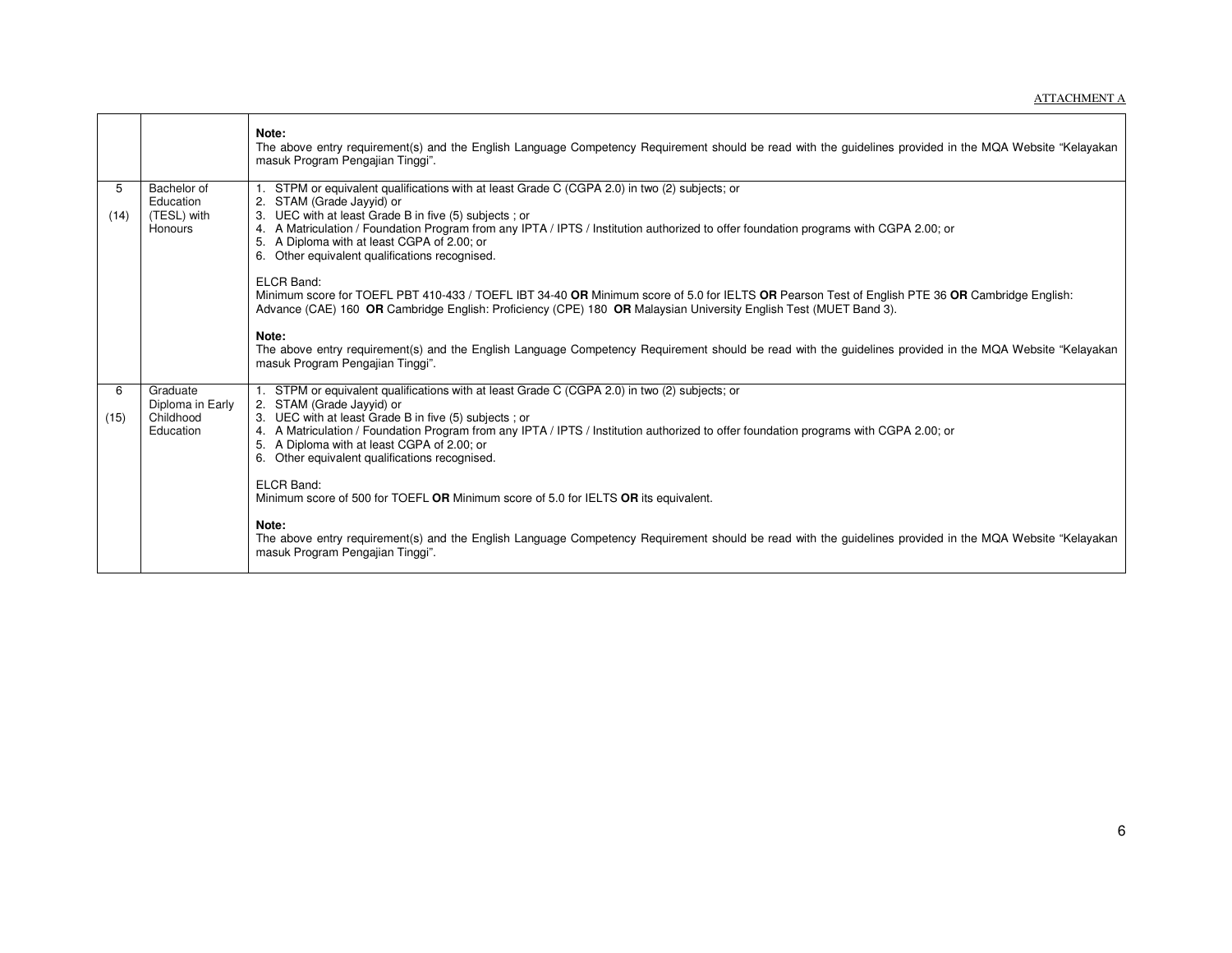|           |                                                        | Note:<br>The above entry requirement(s) and the English Language Competency Requirement should be read with the guidelines provided in the MQA Website "Kelayakan<br>masuk Program Pengajian Tinggi".                                                                                                                                                                                                                         |
|-----------|--------------------------------------------------------|-------------------------------------------------------------------------------------------------------------------------------------------------------------------------------------------------------------------------------------------------------------------------------------------------------------------------------------------------------------------------------------------------------------------------------|
| 5<br>(14) | Bachelor of<br>Education<br>(TESL) with<br>Honours     | 1. STPM or equivalent qualifications with at least Grade C (CGPA 2.0) in two (2) subjects; or<br>2. STAM (Grade Jayyid) or<br>3. UEC with at least Grade B in five (5) subjects; or<br>4. A Matriculation / Foundation Program from any IPTA / IPTS / Institution authorized to offer foundation programs with CGPA 2.00; or<br>5. A Diploma with at least CGPA of 2.00; or<br>6. Other equivalent qualifications recognised. |
|           |                                                        | ELCR Band:<br>Minimum score for TOEFL PBT 410-433 / TOEFL IBT 34-40 OR Minimum score of 5.0 for IELTS OR Pearson Test of English PTE 36 OR Cambridge English:<br>Advance (CAE) 160 OR Cambridge English: Proficiency (CPE) 180 OR Malaysian University English Test (MUET Band 3).                                                                                                                                            |
|           |                                                        | Note:<br>The above entry requirement(s) and the English Language Competency Requirement should be read with the guidelines provided in the MQA Website "Kelayakan<br>masuk Program Pengajian Tinggi".                                                                                                                                                                                                                         |
| 6<br>(15) | Graduate<br>Diploma in Early<br>Childhood<br>Education | 1. STPM or equivalent qualifications with at least Grade C (CGPA 2.0) in two (2) subjects; or<br>2. STAM (Grade Jayyid) or<br>3. UEC with at least Grade B in five (5) subjects; or<br>4. A Matriculation / Foundation Program from any IPTA / IPTS / Institution authorized to offer foundation programs with CGPA 2.00; or<br>5. A Diploma with at least CGPA of 2.00; or<br>6. Other equivalent qualifications recognised. |
|           |                                                        | <b>ELCR Band:</b><br>Minimum score of 500 for TOEFL OR Minimum score of 5.0 for IELTS OR its equivalent.                                                                                                                                                                                                                                                                                                                      |
|           |                                                        | Note:<br>The above entry requirement(s) and the English Language Competency Requirement should be read with the guidelines provided in the MQA Website "Kelayakan<br>masuk Program Pengajian Tinggi".                                                                                                                                                                                                                         |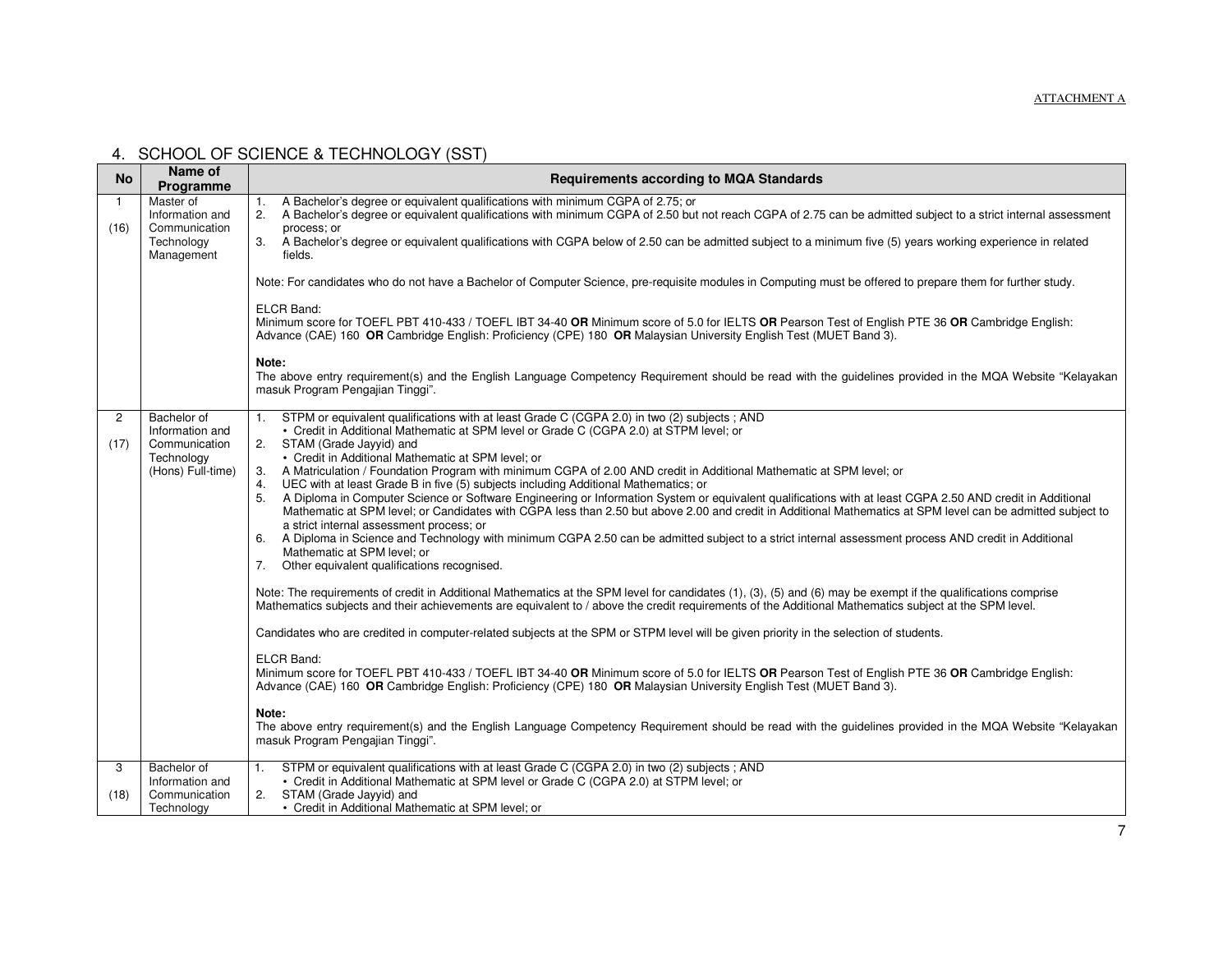### 4. SCHOOL OF SCIENCE & TECHNOLOGY (SST)

| <b>No</b>              | Name of<br>Programme                                                               | <b>Requirements according to MQA Standards</b>                                                                                                                                                                                                                                                                                                                                                                                                                                                                                                                                                                                                                                                                                                                                                                                                                                                                                                                                                                                                                                                                             |
|------------------------|------------------------------------------------------------------------------------|----------------------------------------------------------------------------------------------------------------------------------------------------------------------------------------------------------------------------------------------------------------------------------------------------------------------------------------------------------------------------------------------------------------------------------------------------------------------------------------------------------------------------------------------------------------------------------------------------------------------------------------------------------------------------------------------------------------------------------------------------------------------------------------------------------------------------------------------------------------------------------------------------------------------------------------------------------------------------------------------------------------------------------------------------------------------------------------------------------------------------|
| $\mathbf{1}$<br>(16)   | Master of<br>Information and<br>Communication<br>Technology                        | A Bachelor's degree or equivalent qualifications with minimum CGPA of 2.75; or<br>2.<br>A Bachelor's degree or equivalent qualifications with minimum CGPA of 2.50 but not reach CGPA of 2.75 can be admitted subject to a strict internal assessment<br>process: or<br>3. A Bachelor's degree or equivalent qualifications with CGPA below of 2.50 can be admitted subject to a minimum five (5) years working experience in related                                                                                                                                                                                                                                                                                                                                                                                                                                                                                                                                                                                                                                                                                      |
|                        | Management                                                                         | fields.<br>Note: For candidates who do not have a Bachelor of Computer Science, pre-requisite modules in Computing must be offered to prepare them for further study.<br>ELCR Band:<br>Minimum score for TOEFL PBT 410-433 / TOEFL IBT 34-40 OR Minimum score of 5.0 for IELTS OR Pearson Test of English PTE 36 OR Cambridge English:<br>Advance (CAE) 160 OR Cambridge English: Proficiency (CPE) 180 OR Malaysian University English Test (MUET Band 3).<br>Note:<br>The above entry requirement(s) and the English Language Competency Requirement should be read with the guidelines provided in the MQA Website "Kelayakan<br>masuk Program Pengajian Tinggi".                                                                                                                                                                                                                                                                                                                                                                                                                                                       |
| $\overline{c}$<br>(17) | Bachelor of<br>Information and<br>Communication<br>Technology<br>(Hons) Full-time) | STPM or equivalent qualifications with at least Grade C (CGPA 2.0) in two (2) subjects ; AND<br>1.<br>• Credit in Additional Mathematic at SPM level or Grade C (CGPA 2.0) at STPM level; or<br>2. STAM (Grade Jayyid) and<br>• Credit in Additional Mathematic at SPM level; or<br>3. A Matriculation / Foundation Program with minimum CGPA of 2.00 AND credit in Additional Mathematic at SPM level; or<br>4. UEC with at least Grade B in five (5) subjects including Additional Mathematics; or<br>5. A Diploma in Computer Science or Software Engineering or Information System or equivalent qualifications with at least CGPA 2.50 AND credit in Additional<br>Mathematic at SPM level; or Candidates with CGPA less than 2.50 but above 2.00 and credit in Additional Mathematics at SPM level can be admitted subject to<br>a strict internal assessment process; or<br>6. A Diploma in Science and Technology with minimum CGPA 2.50 can be admitted subject to a strict internal assessment process AND credit in Additional<br>Mathematic at SPM level; or<br>7. Other equivalent qualifications recognised. |
|                        |                                                                                    | Note: The requirements of credit in Additional Mathematics at the SPM level for candidates (1), (3), (5) and (6) may be exempt if the qualifications comprise<br>Mathematics subjects and their achievements are equivalent to / above the credit requirements of the Additional Mathematics subject at the SPM level.<br>Candidates who are credited in computer-related subjects at the SPM or STPM level will be given priority in the selection of students.<br>ELCR Band:                                                                                                                                                                                                                                                                                                                                                                                                                                                                                                                                                                                                                                             |
|                        |                                                                                    | Minimum score for TOEFL PBT 410-433 / TOEFL IBT 34-40 OR Minimum score of 5.0 for IELTS OR Pearson Test of English PTE 36 OR Cambridge English:<br>Advance (CAE) 160 OR Cambridge English: Proficiency (CPE) 180 OR Malaysian University English Test (MUET Band 3).<br>Note:<br>The above entry requirement(s) and the English Language Competency Requirement should be read with the guidelines provided in the MQA Website "Kelayakan<br>masuk Program Pengajian Tinggi".                                                                                                                                                                                                                                                                                                                                                                                                                                                                                                                                                                                                                                              |
| 3<br>(18)              | Bachelor of<br>Information and<br>Communication<br>Technology                      | STPM or equivalent qualifications with at least Grade C (CGPA 2.0) in two (2) subjects ; AND<br>1.<br>• Credit in Additional Mathematic at SPM level or Grade C (CGPA 2.0) at STPM level; or<br>2. STAM (Grade Jayyid) and<br>• Credit in Additional Mathematic at SPM level; or                                                                                                                                                                                                                                                                                                                                                                                                                                                                                                                                                                                                                                                                                                                                                                                                                                           |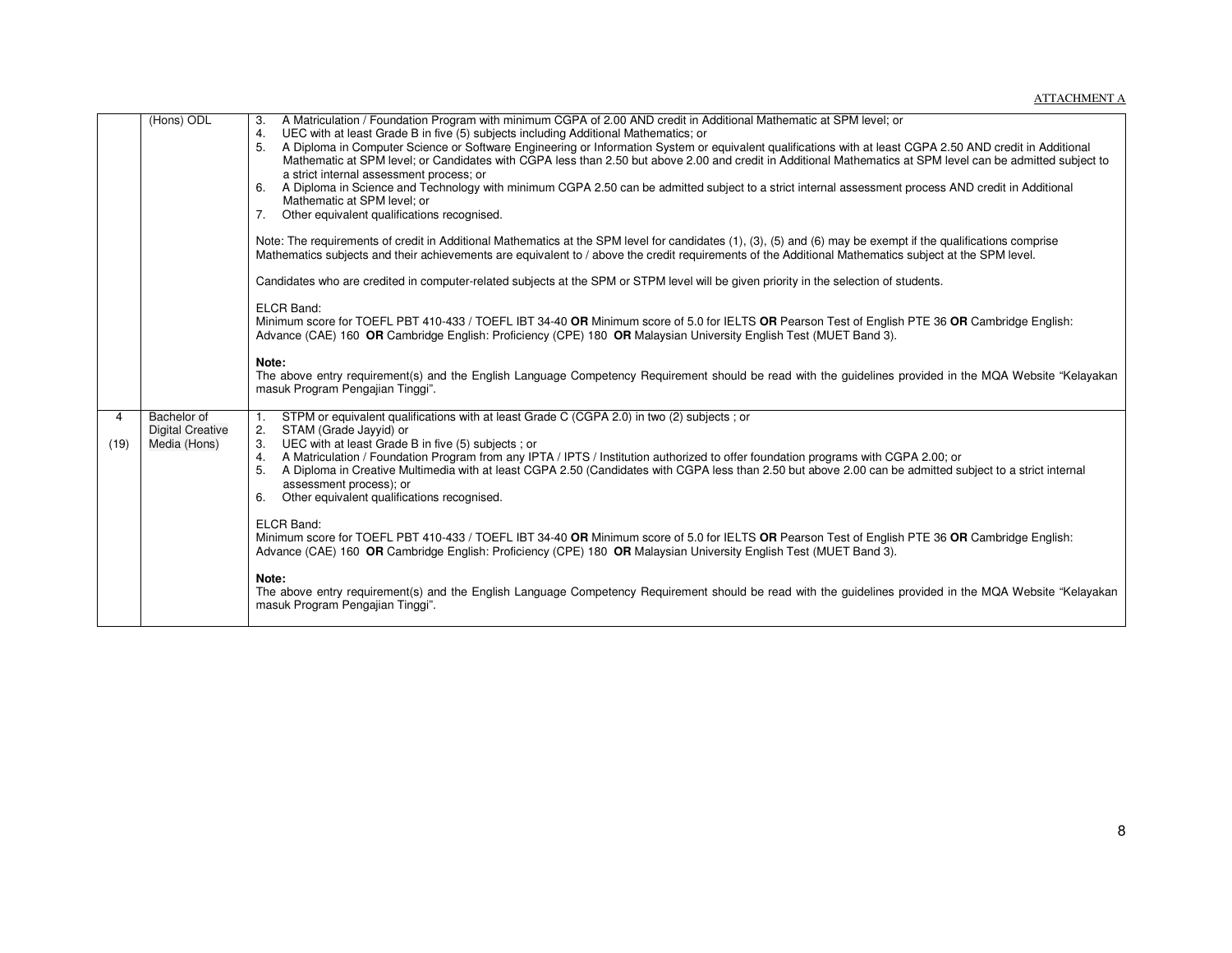|           | (Hons) ODL                                             | 3. A Matriculation / Foundation Program with minimum CGPA of 2.00 AND credit in Additional Mathematic at SPM level; or<br>UEC with at least Grade B in five (5) subjects including Additional Mathematics; or<br>4.<br>5. A Diploma in Computer Science or Software Engineering or Information System or equivalent qualifications with at least CGPA 2.50 AND credit in Additional<br>Mathematic at SPM level; or Candidates with CGPA less than 2.50 but above 2.00 and credit in Additional Mathematics at SPM level can be admitted subject to<br>a strict internal assessment process; or<br>6. A Diploma in Science and Technology with minimum CGPA 2.50 can be admitted subject to a strict internal assessment process AND credit in Additional<br>Mathematic at SPM level; or<br>7. Other equivalent qualifications recognised. |
|-----------|--------------------------------------------------------|-------------------------------------------------------------------------------------------------------------------------------------------------------------------------------------------------------------------------------------------------------------------------------------------------------------------------------------------------------------------------------------------------------------------------------------------------------------------------------------------------------------------------------------------------------------------------------------------------------------------------------------------------------------------------------------------------------------------------------------------------------------------------------------------------------------------------------------------|
|           |                                                        | Note: The requirements of credit in Additional Mathematics at the SPM level for candidates (1), (3), (5) and (6) may be exempt if the qualifications comprise<br>Mathematics subjects and their achievements are equivalent to / above the credit requirements of the Additional Mathematics subject at the SPM level.                                                                                                                                                                                                                                                                                                                                                                                                                                                                                                                    |
|           |                                                        | Candidates who are credited in computer-related subjects at the SPM or STPM level will be given priority in the selection of students.                                                                                                                                                                                                                                                                                                                                                                                                                                                                                                                                                                                                                                                                                                    |
|           |                                                        | <b>ELCR Band:</b><br>Minimum score for TOEFL PBT 410-433 / TOEFL IBT 34-40 OR Minimum score of 5.0 for IELTS OR Pearson Test of English PTE 36 OR Cambridge English:<br>Advance (CAE) 160 OR Cambridge English: Proficiency (CPE) 180 OR Malaysian University English Test (MUET Band 3).                                                                                                                                                                                                                                                                                                                                                                                                                                                                                                                                                 |
|           |                                                        | Note:<br>The above entry requirement(s) and the English Language Competency Requirement should be read with the guidelines provided in the MQA Website "Kelayakan<br>masuk Program Pengajian Tinggi".                                                                                                                                                                                                                                                                                                                                                                                                                                                                                                                                                                                                                                     |
| 4<br>(19) | Bachelor of<br><b>Digital Creative</b><br>Media (Hons) | STPM or equivalent qualifications with at least Grade C (CGPA 2.0) in two (2) subjects; or<br>2.<br>STAM (Grade Jayyid) or<br>3. UEC with at least Grade B in five (5) subjects ; or<br>4. A Matriculation / Foundation Program from any IPTA / IPTS / Institution authorized to offer foundation programs with CGPA 2.00; or<br>5. A Diploma in Creative Multimedia with at least CGPA 2.50 (Candidates with CGPA less than 2.50 but above 2.00 can be admitted subject to a strict internal<br>assessment process); or<br>6. Other equivalent qualifications recognised.                                                                                                                                                                                                                                                                |
|           |                                                        | ELCR Band:<br>Minimum score for TOEFL PBT 410-433 / TOEFL IBT 34-40 OR Minimum score of 5.0 for IELTS OR Pearson Test of English PTE 36 OR Cambridge English:<br>Advance (CAE) 160 OR Cambridge English: Proficiency (CPE) 180 OR Malaysian University English Test (MUET Band 3).                                                                                                                                                                                                                                                                                                                                                                                                                                                                                                                                                        |
|           |                                                        | Note:<br>The above entry requirement(s) and the English Language Competency Requirement should be read with the guidelines provided in the MQA Website "Kelayakan<br>masuk Program Pengajian Tinggi".                                                                                                                                                                                                                                                                                                                                                                                                                                                                                                                                                                                                                                     |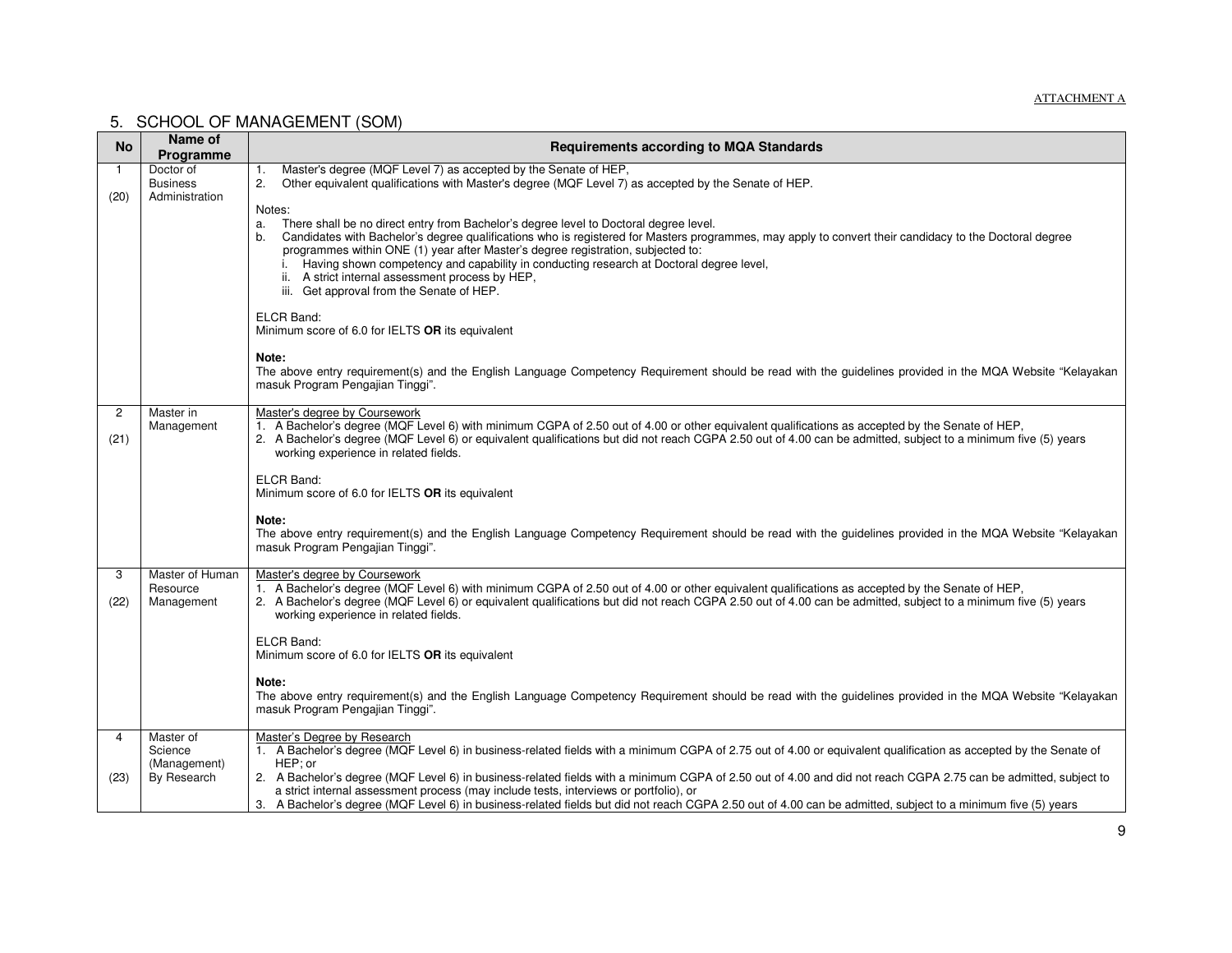#### ATTACHMENT A

#### 5. SCHOOL OF MANAGEMENT (SOM)

| <b>No</b>              | Name of<br>Programme                                | <b>Requirements according to MQA Standards</b>                                                                                                                                                                                                                                                                                                                                                                                                                                                                                                                                                                                         |
|------------------------|-----------------------------------------------------|----------------------------------------------------------------------------------------------------------------------------------------------------------------------------------------------------------------------------------------------------------------------------------------------------------------------------------------------------------------------------------------------------------------------------------------------------------------------------------------------------------------------------------------------------------------------------------------------------------------------------------------|
| (20)                   | Doctor of<br><b>Business</b><br>Administration      | Master's degree (MQF Level 7) as accepted by the Senate of HEP,<br>1.<br>Other equivalent qualifications with Master's degree (MQF Level 7) as accepted by the Senate of HEP.<br>2.                                                                                                                                                                                                                                                                                                                                                                                                                                                    |
|                        |                                                     | Notes:<br>There shall be no direct entry from Bachelor's degree level to Doctoral degree level.<br>a.<br>Candidates with Bachelor's degree qualifications who is registered for Masters programmes, may apply to convert their candidacy to the Doctoral degree<br>b.<br>programmes within ONE (1) year after Master's degree registration, subjected to:<br>i. Having shown competency and capability in conducting research at Doctoral degree level,<br>ii. A strict internal assessment process by HEP,<br>iii. Get approval from the Senate of HEP.<br><b>ELCR Band:</b><br>Minimum score of 6.0 for IELTS OR its equivalent      |
|                        |                                                     | Note:<br>The above entry requirement(s) and the English Language Competency Requirement should be read with the guidelines provided in the MQA Website "Kelayakan<br>masuk Program Pengajian Tinggi".                                                                                                                                                                                                                                                                                                                                                                                                                                  |
| $\overline{c}$<br>(21) | Master in<br>Management                             | Master's degree by Coursework<br>1. A Bachelor's degree (MQF Level 6) with minimum CGPA of 2.50 out of 4.00 or other equivalent qualifications as accepted by the Senate of HEP,<br>2. A Bachelor's degree (MQF Level 6) or equivalent qualifications but did not reach CGPA 2.50 out of 4.00 can be admitted, subject to a minimum five (5) years<br>working experience in related fields.                                                                                                                                                                                                                                            |
|                        |                                                     | <b>ELCR Band:</b><br>Minimum score of 6.0 for IELTS OR its equivalent                                                                                                                                                                                                                                                                                                                                                                                                                                                                                                                                                                  |
|                        |                                                     | Note:<br>The above entry requirement(s) and the English Language Competency Requirement should be read with the guidelines provided in the MQA Website "Kelayakan<br>masuk Program Pengajian Tinggi".                                                                                                                                                                                                                                                                                                                                                                                                                                  |
| 3<br>(22)              | Master of Human<br>Resource<br>Management           | Master's degree by Coursework<br>1. A Bachelor's degree (MQF Level 6) with minimum CGPA of 2.50 out of 4.00 or other equivalent qualifications as accepted by the Senate of HEP,<br>2. A Bachelor's degree (MQF Level 6) or equivalent qualifications but did not reach CGPA 2.50 out of 4.00 can be admitted, subject to a minimum five (5) years<br>working experience in related fields.                                                                                                                                                                                                                                            |
|                        |                                                     | <b>ELCR Band:</b><br>Minimum score of 6.0 for IELTS OR its equivalent                                                                                                                                                                                                                                                                                                                                                                                                                                                                                                                                                                  |
|                        |                                                     | Note:<br>The above entry requirement(s) and the English Language Competency Requirement should be read with the guidelines provided in the MQA Website "Kelayakan<br>masuk Program Pengajian Tinggi".                                                                                                                                                                                                                                                                                                                                                                                                                                  |
| 4<br>(23)              | Master of<br>Science<br>(Management)<br>By Research | Master's Degree by Research<br>1. A Bachelor's degree (MQF Level 6) in business-related fields with a minimum CGPA of 2.75 out of 4.00 or equivalent qualification as accepted by the Senate of<br>HEP; or<br>2. A Bachelor's degree (MQF Level 6) in business-related fields with a minimum CGPA of 2.50 out of 4.00 and did not reach CGPA 2.75 can be admitted, subject to<br>a strict internal assessment process (may include tests, interviews or portfolio), or<br>3. A Bachelor's degree (MQF Level 6) in business-related fields but did not reach CGPA 2.50 out of 4.00 can be admitted, subject to a minimum five (5) years |